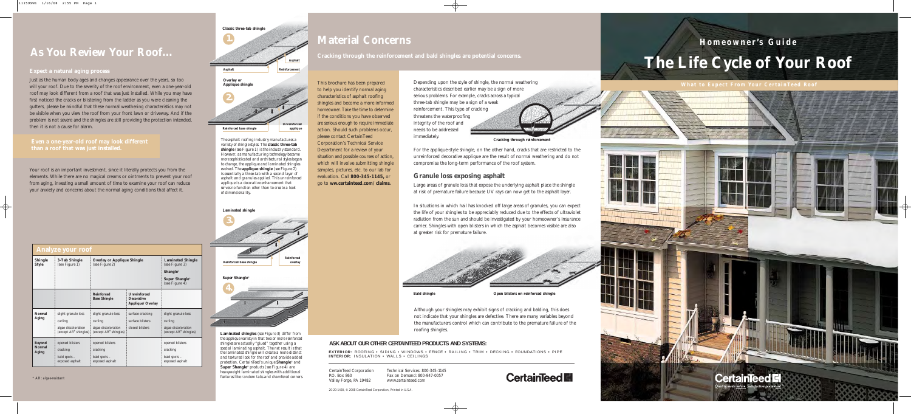Depending upon the style of shingle, the normal weathering characteristics described earlier may be a sign of more serious problems. For example, cracks across a typical three-tab shingle may be a sign of a weak reinforcement. This type of cracking threatens the waterproofing integrity of the roof and needs to be addressed immediately.

For the applique-style shingle, on the other hand, cracks that are restricted to the unreinforced decorative applique are the result of normal weathering and do not compromise the long-term performance of the roof system.

#### **Granule loss exposing asphalt**



Large areas of granule loss that expose the underlying asphalt place the shingle at risk of premature failure because UV rays can now get to the asphalt layer.

In situations in which hail has knocked off large areas of granules, you can expect the life of your shingles to be appreciably reduced due to the effects of ultraviolet radiation from the sun and should be investigated by your homeowner's insurance carrier. Shingles with open blisters in which the asphalt becomes visible are also at greater risk for premature failure.

**Cracking through reinforcement**

*\* AR: algae-resistant*

*The asphalt roofing industry manufactures a variety of shingle styles. The* **classic three-tab shingle** *(see Figure 1) is the industry standard. However, as manufacturing technology became more sophisticated and architectural styles began to change, the applique and laminated shingles evolved. The* **applique shingle** *(see Figure 2) is essentially a three-tab with a second layer of asphalt and granules applied. This unreinforced applique is a decorative enhancement that serves no function other than to create a look of dimensionality.* 

#### **Shingle 3-Tab Shingle Overlay or Applique Shingle Laminated Shingle Style (see Figure 1)** (see Figure 2) (see Figure 3) **Solution** (see Figure 2) **State 2** (see Figure 3) **Shangle**® **Super Shangle**® (see Figure 4) **Reinforced Unreinforced Base Shingle Decorative Applique/Overlay Normal** slight granule loss slight granule loss surface cracking slight granule loss **Aging Aging** curling curling curling curling curling curling algae discoloration algae discoloration  $(except AR^*$  shingles)  $|$  (except  $AR^*$  shingles)  $|$  (except  $AR^*$  shingles)  $|$ (except  $AR^*$  shingles) **Beyond** opened blisters opened blisters opened blisters opened blisters opened blisters opened blisters opened blisters opened blisters opened blisters opened blisters opened blisters opened blisters opened blisters opene **Normal** cracking cracking cracking cracking cracking cracking cracking bald spots – bald spots – bald spots – bald spots – bald spots – bald spots – bald spots – bald spots – bald spots – bald spots – bald spots – bald spots – bald spots – bald spots – bald spots – bald spots – bald spots – b exposed asphalt **Analyze your roof**

**Laminated shingles** *(see Figure 3) differ from the applique variety in that two or more reinforced shingles are actually "glued" together using a special laminating asphalt. The net result is that the laminated shingle will create a more distinct and textured look for the roof and provide added protection. CertainTeed's unique* **Shangle**® *and* **Super Shangle**® *products (see Figure 4) are heavyweight laminated shingles with additional features like random tabs and chamfered corners.*

| Classic three-tab shingle |                      |
|---------------------------|----------------------|
|                           |                      |
|                           |                      |
|                           | Asphalt              |
| <b>Asphalt</b>            | <b>Reinforcement</b> |
| Overlay or                |                      |
| Applique shingle          |                      |
|                           |                      |
|                           |                      |
|                           | Unreinforced         |
| Reinforced base shingle   | applique             |



Just as the human body ages and changes appearance over the years, so too will your roof. Due to the severity of the roof environment, even a one-year-old roof may look different from a roof that was just installed. While you may have first noticed the cracks or blistering from the ladder as you were cleaning the gutters, please be mindful that these normal weathering characteristics may not be visible when you view the roof from your front lawn or driveway. And if the problem is not severe and the shingles are still providing the protection intended, then it is not a cause for alarm.

Your roof is an important investment, since it literally protects you from the elements. While there are no magical creams or ointments to prevent your roof from aging, investing a small amount of time to examine your roof can reduce your anxiety and concerns about the normal aging conditions that affect it.

This brochure has been prepared to help you identify normal aging characteristics of asphalt roofing shingles and become a more informed homeowner. Take the time to determine if the conditions you have observed are serious enough to require immediate action. Should such problems occur, please contact CertainTeed Corporation's Technical Service Department for a review of your situation and possible courses of action, which will involve submitting shingle samples, pictures, etc. to our lab for evaluation. Call **800-345-1145,** or go to **ww.certainteed.com/claims.**

**Open blisters on reinforced shingle**

### **As You Review Your Roof...**

#### **Expect a natural aging process**

**Bald shingle**

# **The Life Cycle of Your Roof Homeowner's Guide**

**CertainTeed F** 



### **Material Concerns**

#### **Cracking through the reinforcement and bald shingles are potential concerns.**

CertainTeed Corporation P.O. Box 860 Valley Forge, PA 19482

#### **ASK ABOUT OUR OTHER CERTAINTEED PRODUCTS AND SYSTEMS:**

20-20-1430, © 2008 CertainTeed Corporation, Printed in U.S.A.

**EXTERIOR:** ROOFING • SIDING • WINDOWS • FENCE • RAILING • TRIM • DECKING • FOUNDATIONS • PIPE **INTERIOR:** INSULATION • WALLS • CEILINGS

> Technical Services: 800-345-1145 Fax on Demand: 800-947-0057 www.certainteed.com

#### **Even a one-year-old roof may look different than a roof that was just installed.**

Although your shingles may exhibit signs of cracking and balding, this does not indicate that your shingles are defective. There are many variables beyond the manufacturers control which can contribute to the premature failure of the

### **CertainTeed El**

roofing shingles.